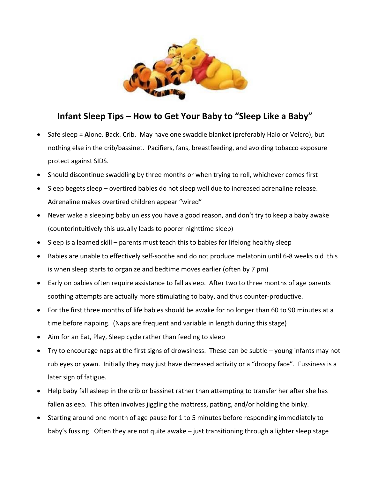

## **Infant Sleep Tips – How to Get Your Baby to "Sleep Like a Baby"**

- Safe sleep = **A**lone. **B**ack. **C**rib. May have one swaddle blanket (preferably Halo or Velcro), but nothing else in the crib/bassinet. Pacifiers, fans, breastfeeding, and avoiding tobacco exposure protect against SIDS.
- Should discontinue swaddling by three months or when trying to roll, whichever comes first
- Sleep begets sleep overtired babies do not sleep well due to increased adrenaline release. Adrenaline makes overtired children appear "wired"
- Never wake a sleeping baby unless you have a good reason, and don't try to keep a baby awake (counterintuitively this usually leads to poorer nighttime sleep)
- Sleep is a learned skill parents must teach this to babies for lifelong healthy sleep
- Babies are unable to effectively self-soothe and do not produce melatonin until 6-8 weeks old this is when sleep starts to organize and bedtime moves earlier (often by 7 pm)
- Early on babies often require assistance to fall asleep. After two to three months of age parents soothing attempts are actually more stimulating to baby, and thus counter-productive.
- For the first three months of life babies should be awake for no longer than 60 to 90 minutes at a time before napping. (Naps are frequent and variable in length during this stage)
- Aim for an Eat, Play, Sleep cycle rather than feeding to sleep
- Try to encourage naps at the first signs of drowsiness. These can be subtle young infants may not rub eyes or yawn. Initially they may just have decreased activity or a "droopy face". Fussiness is a later sign of fatigue.
- Help baby fall asleep in the crib or bassinet rather than attempting to transfer her after she has fallen asleep. This often involves jiggling the mattress, patting, and/or holding the binky.
- Starting around one month of age pause for 1 to 5 minutes before responding immediately to baby's fussing. Often they are not quite awake – just transitioning through a lighter sleep stage